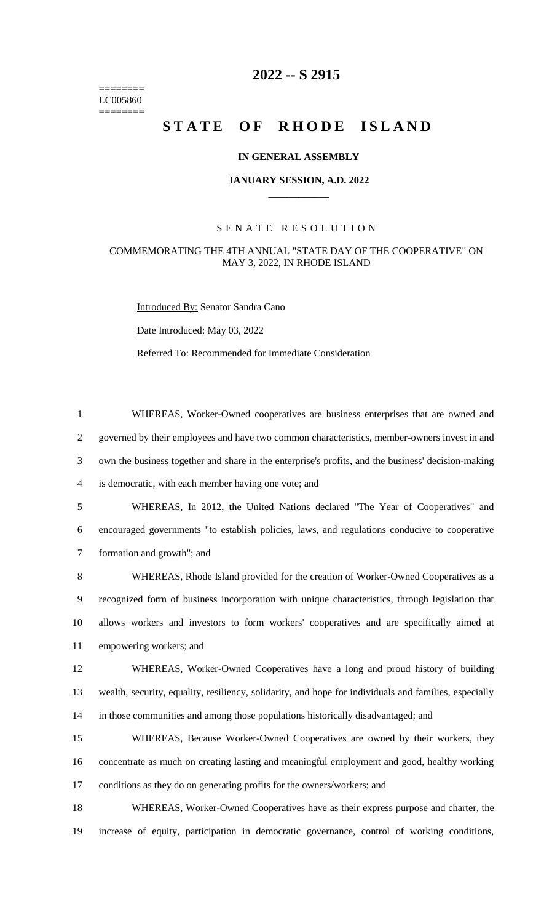======== LC005860 ========

# **-- S 2915**

# STATE OF RHODE ISLAND

# **IN GENERAL ASSEMBLY**

#### **JANUARY SESSION, A.D. 2022 \_\_\_\_\_\_\_\_\_\_\_\_**

# S E N A T E R E S O L U T I O N

## COMMEMORATING THE 4TH ANNUAL "STATE DAY OF THE COOPERATIVE" ON MAY 3, 2022, IN RHODE ISLAND

Introduced By: Senator Sandra Cano

Date Introduced: May 03, 2022

Referred To: Recommended for Immediate Consideration

 WHEREAS, Worker-Owned cooperatives are business enterprises that are owned and governed by their employees and have two common characteristics, member-owners invest in and own the business together and share in the enterprise's profits, and the business' decision-making is democratic, with each member having one vote; and WHEREAS, In 2012, the United Nations declared "The Year of Cooperatives" and encouraged governments "to establish policies, laws, and regulations conducive to cooperative formation and growth"; and WHEREAS, Rhode Island provided for the creation of Worker-Owned Cooperatives as a recognized form of business incorporation with unique characteristics, through legislation that allows workers and investors to form workers' cooperatives and are specifically aimed at empowering workers; and WHEREAS, Worker-Owned Cooperatives have a long and proud history of building wealth, security, equality, resiliency, solidarity, and hope for individuals and families, especially in those communities and among those populations historically disadvantaged; and

 WHEREAS, Because Worker-Owned Cooperatives are owned by their workers, they concentrate as much on creating lasting and meaningful employment and good, healthy working conditions as they do on generating profits for the owners/workers; and

 WHEREAS, Worker-Owned Cooperatives have as their express purpose and charter, the increase of equity, participation in democratic governance, control of working conditions,